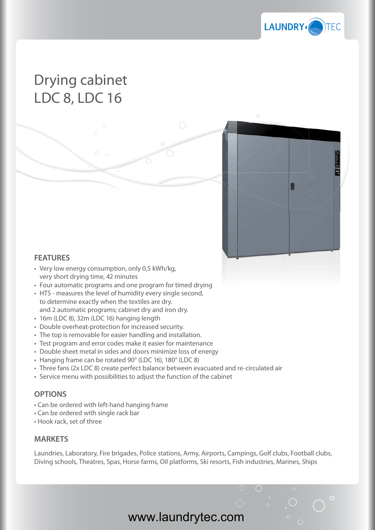

## Drying cabinet LDC 8, LDC 16



## **FEATURES**

- Very low energy consumption, only 0,5 kWh/kg, very short drying time, 42 minutes
- Four automatic programs and one program for timed drying
- HTS measures the level of humidity every single second, to determine exactly when the textiles are dry. and 2 automatic programs; cabinet dry and iron dry.
- 16m (LDC 8), 32m (LDC 16) hanging length
- Double overheat-protection for increased security.
- The top is removable for easier handling and installation.
- Test program and error codes make it easier for maintenance
- Double sheet metal in sides and doors minimize loss of energy
- Hanging frame can be rotated 90° (LDC 16), 180° (LDC 8)
- Three fans (2x LDC 8) create perfect balance between evacuated and re-circulated air g<br>eergy<br>uated
- Service menu with possibilities to adjust the function of the cabinet

## **OPTIONS**

- Can be ordered with left-hand hanging frame
- Can be ordered with single rack bar
- Hook rack, set of three

## **MARKETS**

Laundries, Laboratory, Fire brigades, Police stations, Army, Airports, Campings, Golf clubs, Football clubs, Diving schools, Theatres, Spas, Horse farms, Oil platforms, Ski resorts, Fish industries, Marines, Ships

www.laundrytec.com